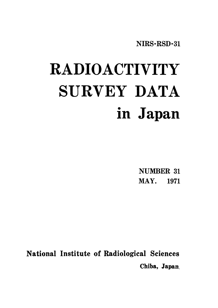NIRS-RSD-31

# **RADIOACTIVITY** SURVEY DATA in Japan

**NUMBER 31 MAY.** 1971

National Institute of Radiological Sciences Chiba, Japan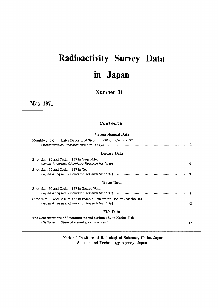## Radioactivity Survey D inJapam

Number 31

May1971

### Contents

### Meteorological Data

| Monthly and Cumulative Deposits of Strontium-90 and Cesium-137                                                                                                                |  |
|-------------------------------------------------------------------------------------------------------------------------------------------------------------------------------|--|
| Dietary Data                                                                                                                                                                  |  |
| Strontium-90 and Cesium-137 in Vegetables<br>(Japan Analytical Chemistry Research Institute) (1999) (1998) (1998) (1998) (1998) (1998) (1998) (1998) (1998)                   |  |
| Strontium-90 and Cesium-137 in Tea<br>(Japan Analytical Chemistry Research Institute) (1999) (1998) (1998) (1999) (1999) (1999) (1999) (19                                    |  |
| Water Data                                                                                                                                                                    |  |
| Strontium-90 and Cesium-137 in Source Water                                                                                                                                   |  |
| Strontium-90 and Cesium-137 in Potable Rain Water used by Lighthouses<br>(Japan Analytical Chemistry Research Institute) (1999) (1998) (1998) (1998) (1998) (1998) (1998) (19 |  |
| <b>Fish Data</b>                                                                                                                                                              |  |
| The Concentrations of Strontium-90 and Cesium-137 in Marine Fish<br>(National Institute of Radiological Sciences) (and the continuum continuum control of the 15              |  |

National Institute of Radiological Sciences, Chiba, Japan Science and Technology Agency, Japan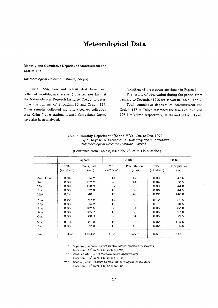### Meteorological Data

### Monthly and Cumulative Deposits of Strontium-90 and Cesium・137

### (Meteorological Research Institute, Tokyo)

Since 1954, rain and fallout dust have been collected monthly, in a receiver (collected area  $1m<sup>2</sup>$ ) at the Meteorological Research Institute, Tokyo, to determine the content of Strontium-90 and Cesium-137. 0ther samples collected monthly(receiver collection area,  $0.5m<sup>2</sup>$ ) at 6 stations located throughout Japan, have also been analyzed.

Locations of the stations are shown in Figure 1. The results of observation during the period from January to December 1970 are shown in Table 1 and 2. Total cumulative deposits of Strontium-90 and Cesium-137 in Tokyo reserched the levels of 73.3 and 193.4 mCi/ $km^2$  respectively, at the end of Dec. 1970.

Table 1: Monthly Deposits of  $90$ Sr and  $137$ Cs-Jan. to Dec. 1970by Y. Miyake, K. Saruhashi, Y. Katsuragi and T. Kanazawa (Meteorological Research Institute, Tokyo)

|           |                                | Sapporo               |                                   | Akita                 |                                   | Sendai                |
|-----------|--------------------------------|-----------------------|-----------------------------------|-----------------------|-----------------------------------|-----------------------|
|           | 90Sr<br>(mCi/km <sup>2</sup> ) | Precipitation<br>(mm) | $90$ Sr<br>(mCi/km <sup>2</sup> ) | Precipitation<br>(mm) | $90$ Sr<br>(mCi/km <sup>2</sup> ) | Precipitation<br>(mm) |
| Jan. 1970 | 0.04                           | 74.2                  | 0.11                              | 142.8                 | 0.03                              | 47.6                  |
| Feb.      | 0.08                           | 122.2                 | 0.26                              | 144.5                 | 0.04                              | 38.5                  |
| Mar.      | 0.09                           | 150.9                 | 0.27                              | 93.5                  | 0.03                              | 44.0                  |
| Apr.      | 0.05                           | 82.8                  | 0.10                              | 107.0                 | 0.06                              | 44.5                  |
| May       | 0.14                           | 40.1                  | 0.19                              | 49.5                  | 0.22                              | 148.0                 |
| June      | 0.22                           | 97.2                  | 0.17                              | 53.0                  | 0.12                              | 62.5                  |
| July      | 0.08                           | 74.2                  | 0.12                              | 58.0                  | 0.11                              | 70.5                  |
| Auq.      | 0.05                           | 102.6                 | 0.08                              | 91.0                  | 0.06                              | 83.0                  |
| Sept.     | 0.08                           | 205.7                 | 0.13                              | 185.0                 | 0.06                              | 97.0                  |
| Oct.      | 0.08                           | 80.3                  | 0.20                              | 164.0                 | 0.05                              | 79.5                  |
| Nov.      | 0.10                           | 81.0                  | 0.10                              | 96.5                  | 0.02                              | 125.5                 |
| Dec.      | 0.06                           | 72.0                  | 0.16                              | 143.0                 | 0.02                              | 6.5                   |
| Sum       | 1.062                          | 1153.2                | 1.88                              | 1327.8                | 0.81                              | 852.1                 |

(Continued from Table 8, Issue No. 28, of this Publication)

\* Sapporo (Sapporo District Central Meteorological Observatory) Location: 43°03'N, 141°20'E (16.9m)

\*\* Akita (Akita District Meteorological Observatory) Location: 39°03'N, 140°06'E (9.1m)

 $***$ Sendai (Sendai District Central Meteorological Observatory) Location: 38°16'N, 140°54'E (38.4m)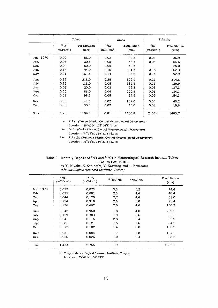|           |                                   | Tokyo                 |                                   | Osaka                 |                                   | Fukuoka               |
|-----------|-----------------------------------|-----------------------|-----------------------------------|-----------------------|-----------------------------------|-----------------------|
|           | $90$ Sr<br>(mCi/km <sup>2</sup> ) | Precipitation<br>(mm) | $90$ Sr<br>(mCi/km <sup>2</sup> ) | Precipitation<br>(mm) | $90$ Sr<br>(mCi/km <sup>2</sup> ) | Precipitation<br>(mm) |
| Jan. 1970 | 0.02                              | 58.0                  | 0.02                              | 44.8                  | 0.03                              | 36.9                  |
| Feb.      | 0.05                              | 30.5                  | 0.05                              | 58.4                  | 0.05                              | 56.6                  |
| Mar.      | 0.04                              | 50.0                  | 0.05                              | 50.5                  |                                   | 25.0                  |
| Apr.      | 0.13                              | 94.0                  | 0.10                              | 221.5                 | 0.18                              | 162.3                 |
| May       | 0.21                              | 161.5                 | 0.14                              | 98.6                  | 0.15                              | 192.9                 |
| June      | 0.39                              | 218.0                 | 0.25                              | 322.9                 | 0.21                              | 314.6                 |
| July      | 0.16                              | 118.0                 | 0.05                              | 135.4                 | 0.15                              | 139.9                 |
| Aug.      | 0.03                              | 20.0                  | 0.03                              | 52.3                  | 0.03                              | 137.3                 |
| Sept.     | 0.06                              | 86.0                  | 0.04                              | 205.9                 | 0.06                              | 184.1                 |
| Oct.      | 0.09                              | 98.5                  | 0.05                              | 94.5                  | 0.09                              | 154.3                 |
| Nov.      | 0.05                              | 144.5                 | 0.02                              | 107.0                 | 0.04                              | 60.2                  |
| Dec.      | 0.03                              | 30.5                  | 0.02                              | 45.0                  | 0.08                              | 19.6                  |
| Sum       | 1.23                              | 1109.5                | 0.81                              | 1436.8                | (1.07)                            | 1483.7                |

 $\star$ Tokyo (Tokyo District Central Meteorological Observatory) Location:  $35^{\circ}41'N$ ,  $139^{\circ}46'E(4.1m)$ 

\*\* Osaka (Osaka District Central Meteorological Observatory) Location:  $34^{\circ}39'N$ ,  $135^{\circ}32'E$  (6.7m)

\*\*\* Fukuoka (Fukuoka District Central Meteorological Observatory) Location:  $33^{\circ}35'N$ ,  $130^{\circ}23'E(2.1m)$ 

|  |  |  | Table 2: Monthly Deposit of <sup>90</sup> Sr and <sup>137</sup> Cs in Meteorological Research Institue, Tokyo |  |  |
|--|--|--|---------------------------------------------------------------------------------------------------------------|--|--|
|  |  |  | $-$ Jan. to Dec. 1970 $-$                                                                                     |  |  |

by Y. Miyake, K. Saruhashi, Y. Katsurag<br>T.Katsurag (Meteorological Research Institute, Tokyo)

|           | 90Sr<br>(mCi/km <sup>2</sup> ) | 137Cs<br>(mCi/km <sup>2</sup> ) | 137Cs/90Sr | $89$ Sr/ $90$ Sr | Precipitation<br>(mm) |
|-----------|--------------------------------|---------------------------------|------------|------------------|-----------------------|
| Jan. 1970 | 0.022                          | 0.073                           | 3.3        | 5.2              | 74.6                  |
| Feb.      | 0.035                          | 0.081                           | 2.3        | 4.6              | 40.4                  |
| Mar.      | 0.044                          | 0.120                           | 2.7        | 4.6              | 51.0                  |
| Apr.      | 0.124                          | 0.318                           | 2.6        | 5.0              | 95.4                  |
| May       | 0.236                          | 0.462                           | 2.0        | 4.6              | 150.9                 |
| June      | 0.542                          | 0.960                           | 1.8        | 4.0              | 209.5                 |
| July      | 0.159                          | 0.303                           | 1.9        | 2.6              | 56.3                  |
| Aug.      | 0.041                          | 0.116                           | 2.8        | 2.4              | 62.9                  |
| Sept.     | 0.081                          | 0.121                           | 1.5        | 1.6              | 84.5                  |
| Oct.      | 0.072                          | 0.102                           | 1.4        | 0.8              | 100.9                 |
| No.v      | 0.051                          | 0.084                           | 1.7        | 1.8              | 127.2                 |
| Dec.      | 0.026                          | 0.026                           | 1.0        | 0.4              | 28.5                  |
| Sum       | 1.433                          | 2.766                           | 1.9        |                  | 1082.1                |

 $\star$  Tokyo (Meteorological Research Institute, Tokyo)

Location:  $35^{\circ}\,42^{\prime} \mathrm{N},\,139^{\circ}\,39^{\prime}\mathrm{E}$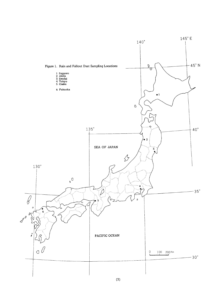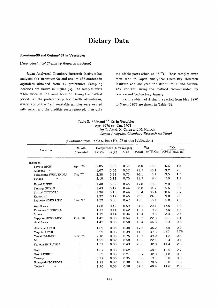### Dietary Data

#### Strontium-90 and Cesium-137 in Vegetables

#### (Japan Analytical Chemistry Research Institute)

Japan Analytical Chemistry Research Institute has analyzed the strontium-90 and cesium-137 content in vegetables obtained from 12 prefectures. Sampling locations are shown in Figure (3). The samples were taken twice at the same location during the harvest period. At the prefectural public health laboratories, several kgs of the fresh vegetable samples were washed with water, and the inedible parts removed, then only

the edible parts ashed at 450°C. These samples were then sent to Japan Analytical Chemistry Research Institute and analyzed for strontium-90 and cesium-137 content, using the method recommended by Science and Technology Agency.

Results obtained during the period from May 1970 to March 1971 are shown in Table (3).

Table 3. <sup>90</sup> Sr and <sup>137</sup>Cs in Vegtables  $-$  Apr. 1970 to Jan. 1971  $$ by T. Asari, M. Chiba and M. Kuroda (Japan Analytical Chemistry Research Institute)

|  |  |  |  |  |  |  |  | (Continued from Table 6, Issue No. 27 of this Publication) |  |
|--|--|--|--|--|--|--|--|------------------------------------------------------------|--|
|--|--|--|--|--|--|--|--|------------------------------------------------------------|--|

|                                   | Month                |            | Compornent (% by Weight) |         |      | $90$ Sr                                           | 137Cs      |     |
|-----------------------------------|----------------------|------------|--------------------------|---------|------|---------------------------------------------------|------------|-----|
| Location                          | Harvested            | Ash $(\%)$ | Ca (%)                   | $K(\%)$ |      | $\overline{(pCi/kg) (pCi/gCa)} (pCi/kg) (pCi/gK)$ |            |     |
| (Spinach)                         |                      |            |                          |         |      |                                                   |            |     |
| Toyota AICHI                      | Apr. '70             | 1.05       | 0.05                     | 0.37    | 8.0  | 16.0                                              | 6.6        | 1.8 |
| Akabane<br>$\boldsymbol{\mu}$     | $\cdot$              | 1.07       | 0.06                     | 0.37    | 21.7 | 36.1                                              | 9.2        | 2.5 |
| Fukushima FUKUSHIMA               | May '70              | 2.38       | 0.32                     | 0.73    | 26.1 | 8.2                                               | 9.5        | 1,3 |
| Futaba<br>$\boldsymbol{\cdot}$    | $\mathbf{r}$         | 2.10       | 0.12                     | 0.70    | 11.7 | 9.7                                               | 7.9        | 1.1 |
| Fukui FUKUI                       | $\cdot$              | 1.40       | 0.09                     | 0.46    | 17.8 | 19.8                                              | 12.0       | 2.6 |
| Tzuruqa FUKUI                     | $\cdot$              | 1.43       | 0.12                     | 0.44    | 38,0 | 31.7                                              | 15.6       | 3.5 |
| Tottori TOTTORI                   | $\ddot{\phantom{a}}$ | 1.36       | 0.10                     | 0.44    | 35.4 | 35.4                                              | 10.6       | 2.4 |
| Kurayoshi<br>$\sim$ 11            | $\cdot$              | 1.32       | 0.12                     | 0.46    | 29.5 | 24.6                                              | 9.0        | 2.0 |
| Sapporo HOKKAIDO                  | June '70             | 1.29       | 0.08                     | 0.47    | 12.1 | 15.1                                              | 5.8        | 1.2 |
| Asahikawa<br>$\boldsymbol{\cdot}$ | $\cdot$              | 1.60       | 0.12                     | 0.59    | 24.2 | 20.1                                              | 17.5       | 3.0 |
| Fukuoka FUKUOKA                   | $\cdots$             | 1.13       | 0.11                     | 0.42    | 10.1 | 9.2                                               | 7.5        | 1.8 |
| Shime<br>$\bar{\phantom{a}}$      | $\cdot$              | 1.19       | 0.14                     | 0.34    | 13.4 | 9.6                                               | 8.4        | 2.5 |
| Sapporo HOKKAIDO                  | Oct. '70             | 1.42       | 0.06                     | 0.54    | 13.5 | 22.6                                              | 6.1        | 1.1 |
| Asahikawa<br>$\pmb{\cdot}$        | $\mathbf{r}$         | 1.42       | 0.03                     | 0.50    | 13.4 | 44.6                                              | 2.3        | 0.5 |
| Akabane AICHI                     | $\cdot$              | 1.09       | 0.05                     | 0.38    | 17.6 | 35.2                                              | 3.5        | 0.9 |
| Toyota AICHI                      |                      | 0.99       | 0.03                     | 0.39    | 11.2 | 37.3                                              | <b>LTD</b> | LTD |
| Tokai IBARAKI                     | Nov. '70             | 2.18       | 0.05                     | 0.75    | 19.5 | 39.0                                              | 4.2        | 0.6 |
| Mito<br>$\pmb{\cdot}$             | $\cdot$              | 1.92       | 0.07                     | 0.58    | 15.5 | 22.1                                              | 2.4        | 0.4 |
| Fujieda SHIZUOKA                  | $\cdot$              | 1.32       | 0.08                     | 0.43    | 25.6 | 32.0                                              | 11.4       | 2.6 |
| Fuji<br>$\pmb{\cdot}$             | $\pmb{\cdots}$       | 1.67       | 0.08                     | 0.62    | 38.5 | 48.1                                              | 16.5       | 2.7 |
| Fukui FUKUI                       | $\bullet$ $\bullet$  | 0.59       | 0.03                     | 0.21    | 9.7  | 32.3                                              | 1.8        | 0.9 |
| Tsuruqa "                         | $\mathbf{r}$         | 0.97       | 0.05                     | 0.35    | 9.6  | 19.1                                              | 3.0        | 0.9 |
| Kurayoshi TOTTORI                 | $\epsilon$ .         | 1.22       | 0.07                     | 0.38    | 49.3 | 70.5                                              | 6.0        | 1.6 |
| Tottori<br>$\ddot{\phantom{0}}$   | $\bullet$ $\bullet$  | 1.70       | 0.08                     | 0.58    | 32.3 | 40.4                                              | 14.6       | 2.5 |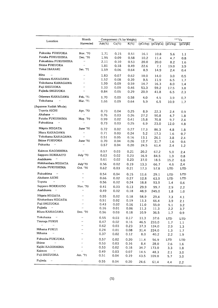| Location                                | Month                |            | Compornent (% by Weight) |         |      | $90$ Sr                                                        |               | 137Cs |
|-----------------------------------------|----------------------|------------|--------------------------|---------|------|----------------------------------------------------------------|---------------|-------|
|                                         | Harvested            | Ash $(\%)$ | $\overline{Ca(\%)}$      | $K(\%)$ |      | $\overline{(pCi/kg) (pCi/gCa)}$ $\overline{(pCi/kg) (pCi/gk)}$ |               |       |
| Fukuoka FUKUOKA                         | Nov. '70             | 1.71       | 0.15                     | 0.51    | 16.1 | 10.8                                                           | 5.6           | 1.1   |
| Futaba FUKUSHIMA                        | Dec. '70             | 1.95       | 0.09                     | 0.58    | 10.2 | 11.4                                                           | 4.7           | 0.8   |
| Fukushima FUKUSHIMA                     | $\bar{\epsilon}$     | 2.11       | 0.10                     | 0.53    | 20.0 | 20.0                                                           | 8.2           | 1.6   |
| <b>Shime FUKUOKA</b>                    | $\ddot{\phantom{a}}$ | 1.81       | 0.18                     | 0.49    | 22.6 | 7.1                                                            | 19.0          | 3.9   |
| Tokai IBARAKI                           | Jan. '71             | 1.59       | 0.06                     | 0.64    | 8.9  | 14.9                                                           | 2.4           | 0.4   |
| Mito<br>$\ddot{\phantom{a}}$            | $\bar{\phantom{a}}$  | 1.83       | 0.07                     | 0.62    | 10.0 | 14.0                                                           | 3.0           | 0.5   |
| Odawara KANAGAWA                        | $\bar{r}$            | 1.52       | 0.08                     | 0.39    | 9.5  | 11.9                                                           | 6.5           | 1.7   |
| Yokohama KANAGAWA                       | $\bar{\phantom{a}}$  | 1.99       | 0.09                     | 0.59    | 14.7 | 16.3                                                           | 8.0           | 1.4   |
| Fuji SHIZUOKA                           | r.                   | 1.33       | 0.09                     | 0.46    | 53.3 | 59.2                                                           | 17.5          | 3.8   |
| Fujieda SHIZUOKA                        | $\ddot{\phantom{a}}$ | 0.84       | 0.05                     | 0.29    | 20.9 | 41.8                                                           | 6.5           | 2.3   |
| Odawara KANAGAWA                        | Feb. '71             | 1.70       | 0.09                     | 0.58    | 4.0  | 4.5                                                            | 3.9           | 0,7   |
| Yokohama<br>$\bar{\boldsymbol{\theta}}$ | Mar. '71             | 1.66       | 0.09                     | 0.64    | 5.9  | 6.5                                                            | 10.9          | 1.7   |
| (Japanese Radish Whole)                 |                      |            |                          |         |      |                                                                |               |       |
| Toyota AICHI                            | Apr. '70             | 0.73       | 0.04                     | 0.25    | 8.9  | 22.3                                                           | $2.4^{\circ}$ | 0.9   |
| Akabane "                               | $\ddot{\phantom{a}}$ | 0.76       | 0.03                     | 0.26    | 27.2 | 90.8                                                           | 4.7           | 1.8   |
| Futaba FUKUSHIMA                        | May. '70             | 0.99       | 0.02                     | 0.41    | 15.8 | 70.8                                                           | 9.7           | 2.4   |
| Fukushima<br>$\bar{\ell}$               | $\bar{\alpha}$       | 0.73       | 0.03                     | 0.25    | 6.9  | 23.0                                                           | 12.0          | 4.8   |
| Niigata NIIGATA                         | June '70             | 0.72       | 0.02                     | 0.27    | 17.3 | 86.3                                                           | 4.8           | 1.8   |
| Miura KANAGAWA                          | $\bar{\phantom{a}}$  | 0.71       | 0.03                     | 0.24    | 5.2  | 17.3                                                           | 1.6           | 0,7   |
| Yokohama KANAGAWA                       | $\bar{\mathbf{r}}$   | 0.51       | 0.05                     | 0.16    | 13.1 | 26.1                                                           | 3.8           | 2.4   |
| Shime FUKUOKA                           | June '70             | 0.70       | 0.04                     | 0.26    | 12.7 | 31.7                                                           | 1.6           | 0.6   |
| Fukuoka<br>$\boldsymbol{\epsilon}$      | $\bar{\epsilon}$     | 0.57       | 0.04                     | 0.20    | 24.5 | 61.4                                                           | 2.4           | 1.2   |
| Kaimon KAGOSHIMA                        | $\ddot{\phantom{0}}$ | 0.57       | 0.03                     | 0.21    | 20.2 |                                                                |               |       |
| Sapporo HOKKAITO                        | July '70             | 0.63       | 0.02                     | 0.23    | 16.9 | 67.2                                                           | 5.0           | 2.4   |
| Asahikawa<br>$\cdot$                    | $\bar{\epsilon}$     | 0.61       | 0.02                     | 0.23    |      | 84.5                                                           | 1.9           | 0.8   |
| Nishikanbara NIIGATA                    |                      |            |                          |         | 37.0 | 18.5                                                           | 15.2          | 6.6   |
| Futaba FUKUSHIMA                        | July'70<br>Oct. '70  | 0.56       | 0.02                     | 0.19    | 13.3 | 66.7                                                           | 4.6           | 2.4   |
|                                         |                      | 0.62       | 0.03                     | 0.21    | 17.3 | 57.8                                                           | LTD           | LTD   |
| Fukushima<br>$\boldsymbol{\mu}$         | .,                   | 0.54       | 0.04                     | 0.15    | 11.6 | 29.1                                                           | LTD           | LTD   |
| Akabane AICHI                           | $\pmb{\cdot}$        | 0.66       | 0.02                     | 0.27    | 12.8 | 63.9                                                           | LTD           | LTD   |
| $\boldsymbol{\theta}$<br>Toyota         | $\ddot{\phantom{a}}$ | 0.56       | 0.02                     | 0.24    | 18.8 | 93.9                                                           | 1.4           | 0.6   |
| Sapporo HOKKAIDO                        | Nov. '70             | 0.41       | 0.03                     | 0.13    | 29.9 | 99.7                                                           | 2.9           | 2.2   |
| Asahikawa<br>$\sim$                     | $\ddot{\phantom{a}}$ | 0.49       | 0.02                     | 0.18    | 48.9 | 245.0                                                          | 1.8           | 1.0   |
| Niigata NIIGATA                         | $\mathbf{r}$         | 0.55       | 0.02                     | 0.18    | 58.9 | 29.4                                                           | 7.3           | 4.1   |
| Kitakanbara NIIGATA                     | $\pmb{\cdot}$        | 0.51       | 0.02                     | 0.19    | 13.3 | 66.4                                                           | 3.9           | 2.1   |
| Fuji SHIZUOKA                           | $\bar{\phantom{a}}$  | 0.43       | 0.02                     | 0.16    | 11.0 | 55.0                                                           | 5.1           | 3.2   |
| Fujieda<br>$\mathcal{O}$                | $\bar{\epsilon}$     | 0.16       | 0.01                     | 0.06    | 11.3 | 11.3                                                           | 2.2           | 3.7   |
| Miura KANAGAWA                          | Dec. '70             | 0.56       | 0.03                     | 0.18    | 10.9 | 36.5                                                           | 1.7           | 0.9   |
| Yokohama<br>$\boldsymbol{\mu}$          | $\bar{\phantom{a}}$  | 0.55       | 0.03                     | 0.17    | 11.3 | 37.6                                                           | <b>LTD</b>    | LTD   |
| Tzuruga FUKUI                           |                      | 0.47       | 0.02                     | 0.16    | 46.5 | 233.0                                                          | 1.7           | 1.1   |
| ò.<br>$\bar{\ell}$                      | $\ddot{\phantom{0}}$ | 0.62       | 0.03                     | 0.23    | 37.3 | 124.0                                                          | 2.9           | 1.3   |
| Mihama FUKUI                            | $\bar{\phantom{a}}$  | 0.24       | 0.01                     | 0.08    | 31.4 | 224.0                                                          | 1.3           | 1.7   |
| Mihama<br>$\bar{\ell}$                  | $\bar{\epsilon}$     | 0.37       | 0.02                     | 0.12    | 8.0  | 40.2                                                           | 2.2           | 1.9   |
| Fukuoka FUKUOKA                         | $\bar{\epsilon}$     | 0.57       | 0.02                     | 0.20    | 11.4 | 56.9                                                           | LTD           | LTD   |
| Shime<br>$\bar{\phantom{a}}$            | $\bar{\epsilon}$     | 0.53       | 0.03                     | 0.16    | 8.4  | 28.0                                                           | 2.6           | 1.6   |
| Kajiki KAGOSHIMA                        | $\cdot$              | 0.53       | 0.02                     | 0.18    | 34.7 | 173.0                                                          | 3.3           | 1.8   |
| Kaimon<br>$\bar{\ell}$                  | $\ddot{\phantom{0}}$ | 0.49       | 0.03                     | 0.07    | 14.5 | 48.3                                                           | 2.1           | 3.0   |
| Fuji SHIZUOKA                           | Jan. '71             | 0.51       | 0.04                     | 0.19    | 43.5 | 109.0                                                          | 5.7           | 3.0   |
| Fujieda<br>$\bar{\epsilon}$             | $\ddot{\phantom{0}}$ | 0.55       | 0.04                     | 0.20    | 24.6 | 61.4                                                           | 4.4           | 2.2   |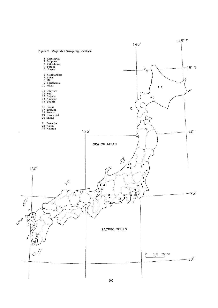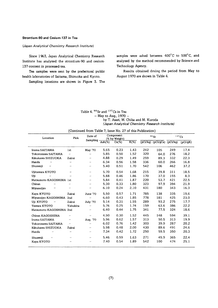### Strontium-90 and Cesium-137 in Tea

### (Japan Analytical Chemistry Research Institute)

Since 1963, Japan Analytical Chemistry Research Institute has analyzed the strontium-90 and cesium-137 content in processed-tea.

Tea samples were sent by the prefectural public health laboratories of Saitama, Shizuoka and Kyoto.

Sampling locations are shown in Figure 3. The

samples were ashed between 400°C to 500°C, and analyzed by the method recommended by Science and Technology Agency.

Results obtained druing the period from May to August 1970 are shown in Table 4.

Table 4. 90 Sr and 137 Cs in Tea  $-$  May to Aug., 1970  $$ by T. Asari, M. Chiba and M. Kuroda (Japan Analytical Chemistry Research Institute)

| Pick<br>Location                |                      | Date of         |           | Component<br>(% by Weight) |         |     | $\rm ^{90}Sr$                  | 137Cs    |          |
|---------------------------------|----------------------|-----------------|-----------|----------------------------|---------|-----|--------------------------------|----------|----------|
|                                 |                      | Sampling        | $Ash(\%)$ | $Ca(\%)$                   | $K(\%)$ |     | $\overline{(pCi/kg)(pCi/gCa)}$ | (pCi/kg) | (pCi/gK) |
| Iruma SAITAMA                   | 1st                  | May '70         | 5.65      | 0.23                       | 1.43    | 242 | 105                            | 249      | 17.4     |
| Tokorozawa SAITAMA              | $\cdot$              | $\bullet$       | 5.85      | 0.50                       | 1.52    | 320 | 64.0                           | 276      | 18.2     |
| Kikukawa SHIZUOKA               | Zairai               | $\pmb{\cdots}$  | 4.88      | 0.29                       | 1.49    | 259 | 89.3                           | 332      | 22.3     |
| Handa<br>$\mathbf{r}$           |                      | $\bullet$       | 6.34      | 0.56                       | 1.58    | 336 | 60.0                           | 266      | 16.8     |
| Shuzenji<br>$\bar{\phantom{a}}$ | $\epsilon$           | $\pmb{\cdots}$  | 5.40      | 0.51                       | 1.70    | 542 | 106                            | 462      | 37.2     |
| Ujitawara KYOTO                 | $\bullet$            | $\cdot$         | 5.70      | 0.54                       | 1.68    | 215 | 39.8                           | 311      | 18.5     |
| Uji<br>$\cdot$                  | $\cdot$              | $\epsilon$      | 5.88      | 0.46                       | 1.86    | 170 | 37.0                           | 155      | 8.3      |
| Matsumoto KAGOSHIMA 1st         |                      | $\cdots$        | 5.84      | 0.41                       | 1.87    | 220 | 53.7                           | 421      | 22.5     |
| Chiran<br>$\cdot$               | $\cdot$              | $\cdots$        | 5.30      | 0.33                       | 1.80    | 323 | 97.9                           | 394      | 21.9     |
| Miyanojyo<br>$\cdot$            | $\ddot{\phantom{0}}$ | $\cdot$         | 6.10      | 0.24                       | 2.10    | 431 | 180                            | 343      | 16.3     |
| Kaya KYOTO                      | Zairai               | June '70        | 5.50      | 0.57                       | 1.71    | 785 | 138                            | 335      | 19.6     |
| Miyanojyo KAGOSHIMA             | 2nd                  | $\epsilon$      | 6.60      | 0.43                       | 1.85    | 778 | 181                            | 425      | 23.0     |
| Uji KYOTO<br>$\cdot$            | Zairai               | <b>July '70</b> | 5.14      | 0.31                       | 1.55    | 289 | 93.2                           | 275      | 17.7     |
| Tawara KYOTO                    | Yabukita             | $\cdot$         | 5.76      | 0.25                       | 1.74    | 159 | 63.6                           | 386      | 22.2     |
| Matsumoto KAGOSHIMA 2nd         |                      | $\cdots$        | 6.40      | 0.44                       | 1.75    | 341 | 77.5                           | 324      | 18.6     |
| Chiran KAGOSHIMA                | $\cdot$              | $\cdot\cdot$    | 4.90      | 0.30                       | 1.52    | 445 | 148                            | 594      | 39.1     |
| Iruma SAITAMA                   | $\ddot{\phantom{a}}$ | Aug. '70        | 5.96      | 0.62                       | 1.57    | 313 | 50.5                           | 313      | 19.9     |
| Tokorozawa SAITAMA              | $\cdot$              | $\cdot$         | 6.02      | 0.76                       | 1.42    | 303 | 39.9                           | 287      | 20.2     |
| Kikukawa SHIZUOKA               | Zairai               | $\cdot$         | 5.98      | 0.48                       | 2.00    | 430 | 89.6                           | 491      | 24.6     |
| Handa<br>$\cdot$                | $\bullet$            | $\cdots$        | 7.34      | 0.42                       | 1.72    | 250 | 59.5                           | 350      | 20.3     |
| Shuzenji<br>$\cdot$             | $\epsilon$           | $\bullet$       | 5.46      | 0.59                       | 1.63    | 271 | 45.9                           | 365      | 22.4     |
| Kaya KYOTO                      | $\bullet$            | $\pmb{\cdots}$  | 7.40      | 0.54                       | 1.89    | 542 | 100                            | 474      | 25.1     |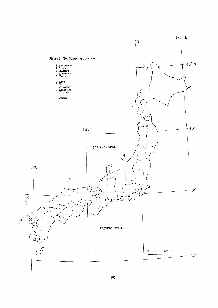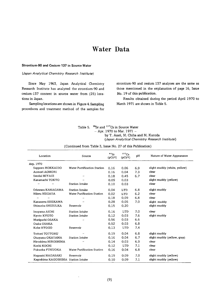### Water Data

#### Strontium-90 and Cesium-137 in Source Water

### (Japan Analytical Chemistry Research Institute)

Since May 1963, Japan Analytical Chemistry Research Institute has analyzed the strontium-90 and cesium-137 content in source water from (25) locations in Japan.

Sampling locations are shown in Figure 4. Sampling procedures and treatment method of the samples for strontium-90 and cesium 137 analyses are the same as those mentioned in the explanation of page 16, Issue No. 19 of this publication.

Results obtained during the period April 1970 to March 1971 are shown in Table 5.

| Table 5. $\frac{90}{5}$ Sr and <sup>137</sup> Cs in Source Water |
|------------------------------------------------------------------|
| $-$ Apr. 1970 to Mar. 1971 $-$                                   |
| by T. Asari, M. Chiba and M. Kuroda                              |
| (Japan Analytical Chemistry Research Institute)                  |

| Location            | Source                      | $90$ Sr<br>(pCi/2) | 137C <sub>S</sub><br>$(pCi/\ell)$ | рH  | Nature of Water Appearance   |
|---------------------|-----------------------------|--------------------|-----------------------------------|-----|------------------------------|
| Arp. 1970           |                             |                    |                                   |     |                              |
| Sapporo HOKKAIDO    | Water Purrification Station | 0.16               | 0.06                              | 6.9 | slight muddy (white, yellow) |
| Aomori AOMORI       |                             | 0.16               | 0.04                              | 7.3 | clear                        |
| Sendai MIYAGI       | $\cdot$                     | 0.18               | 0.45                              | 6.7 | clear                        |
| Kanamachi TOKYO     | $\bullet$                   | 0.09               | 0.03                              |     | slight muddy (yellow)        |
| $\cdot$<br>$\cdots$ | <b>Station Intake</b>       | 0.10               | 0.03                              |     | clear                        |
| Odawara KANAGAWA    | <b>Station Intake</b>       | 0.04               | <b>LTD</b>                        | 6.8 | slight muddy                 |
| Niiszu NIIGATA      | Water Purification Station  | 0.02               | <b>LTD</b>                        | 6.2 | clear                        |
| $\cdot\cdot$<br>,,  | $\cdot\cdot$                | 0.18               | 0.09                              | 6.8 | clear                        |
| Kanazawa ISHIKAWA   | $^{\prime}$                 | 0.28               | 0.05                              | 7.0 | slight muddy                 |
| Shizuoka SHIZULKA   | Reservolr                   | 0.15               | 0.20                              |     | slight muddy                 |
| Inuyama AICHI       | <b>Station Intake</b>       | 0.16               | <b>LTD</b>                        | 7.0 | clear                        |
| Kyoto KYOTO         | <b>Station Intake</b>       | 0.12               | 0.03                              | 7.6 | slight muddy                 |
| Moriquchi OSAKA     | $\mathbf{r}$                | 0.56               | 0.03                              | 6.6 |                              |
| Osaka OSAKA         |                             | 0.52               | 0.03                              | 6.8 |                              |
| Kobe HYOGO          | Reservoir                   | 0.13               | <b>LTD</b>                        | 7.4 |                              |
| Tottori TOTTORU     | $\cdot$                     | 0.19               | 0.04                              | 6.8 | slight muddy                 |
| Okayama OKATAMA     | <b>Station Intake</b>       | 0.16               | 0.04                              | 6.7 | slight muddy (yellow, gray)  |
| Hiroshima HIROSHIMA | $\cdot\cdot$                | 0.14               | 0.03                              | 6.9 | clear                        |
| Kochi KOCHI         |                             | 0.12               | <b>LTD</b>                        | 7.1 | clear                        |
| Fukuoka FUKUOKA     | Water Purification Station  | 0.16               | 0.04                              | 6.8 | clear                        |
| Naqasaki NAGASAKI   | Reservoir                   | 0.19               | 0.09                              | 7.0 | slight muddy (yellow)        |
| Kaqoshima KAGOSHIMA | Station Intake              | 0.10               | 0.09                              | 7.1 | slight muddy (yellow)        |

### (Continued from Table 3, Issue No. 27 of this Publication)

 $\bar{z}$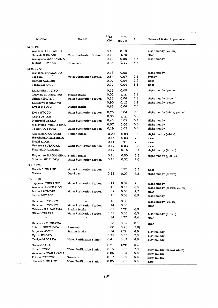| Location                           | Source                            | $90$ Sr<br>$(pCi/\ell)$ | 137Cs<br>(pCi/R) | pH      | Nature of Water Appearance   |
|------------------------------------|-----------------------------------|-------------------------|------------------|---------|------------------------------|
| May. 1970                          |                                   |                         |                  |         |                              |
| Wakkanai HOKKAIDO                  |                                   | 0.45                    | 0.10             |         | slight muddy (yellow)        |
| Hamada SHIMANE                     | <b>Water Purification Station</b> | 0.13                    | LTD              |         | clear                        |
| Wakayama WAKAYAMA                  |                                   | 0.10                    | 0.08             | 6.5     | slight muddy                 |
| <b>Matsue SHIMANE</b>              | Otani dam                         | 0.35                    | 0.11             | 5.6     |                              |
| Sept. 1970                         |                                   |                         |                  |         |                              |
| Wakkanai HOKKAIDO                  |                                   | 0.18                    | 0.08             |         | slight muddy                 |
| Sapporo                            | <b>Water Purification Station</b> | 0.54                    | 0.07             | 7.1     | muddy                        |
| Aomori AOMORI                      | $\ddot{\phantom{a}}$              | 0.07                    | 0.04             | 7.2     | clear                        |
| Sendai MIYAGI                      | $\ddot{\phantom{a}}$              | 0.17                    | 0.04             | 6.6     | clear                        |
| Katsushika TOKYO                   | $\ddot{\phantom{0}}$              | 0.19                    | 0.05             |         | slight muddy (yellow)        |
| Odawara KANAGAWA                   | Station Intake                    | 0.02                    | $_{\rm LTD}$     | 6.9     |                              |
| Niitsu NIIGATA                     | <b>Water Purification Station</b> | 0.33                    | 0.06             | 6.8     | slight muddy (brown)         |
| Kanazawa ISHIKAWA                  |                                   | 0.90                    | 0.12             | 8.1     | slight muddy (yellow)        |
| Kyoto KYOTO                        | Station Intake                    | 0.63                    | 0.06             | 7,5     |                              |
| Kobe HYOGO                         | <b>Water Purification Station</b> | 0.20                    | 0.04             | 7.5     | slight muddy (white, yellow) |
| Osaka OSAKA                        |                                   | 0.33                    | LTD              | 6.8     |                              |
| Moriguchi OSAKA                    | Water Purification Station        | 0.43                    | 0.07             | 6.4     | slight muddy                 |
| Wakayama WAKAYAMA                  |                                   | 0.07                    | 0.06             | 6.5     | slight muddy                 |
| Tottori TOTTORI                    | <b>Water Purification Station</b> | 0.19                    | 0.03             | 6.8     | slight muddy                 |
| Okayama OKAYAMA                    | Station Intake                    | 0.20                    | 0.03             | 6.0     | slight muddy (white)         |
| Hiroshima HIROSHIMA                | $\ddot{\phantom{a}}$              | 0.15                    | 0.03             | 7.5     | clear                        |
| Kochi KOCHI                        |                                   | 0.11                    | LTD              | 7.2     | clear                        |
| Fukuoka FUKUOKA                    | Water Purification Station        | 0.17                    | 0.03             | 6.8     | clear                        |
| Nagasaki NAGASAKI                  | $\ddot{\phantom{a}}$              | 0.17                    | 0.15             | 8.1     | slight muddy (brown)         |
| Kagoshima KAGOSHIMA Station Intake |                                   | 0.13                    | 0.05             | 6.8     | slight muddy (yellow)        |
| Shimizu SHIZUOKA                   | Water Purification Station        | 0.13                    | 0.32             | 7.0     |                              |
| Oct. 1970                          |                                   |                         |                  |         |                              |
| Hmada SHIMANE                      | Water Purification Station        | 0.06                    | LTD              | 5.4     | clear                        |
| Matsue<br>$\bar{t}$                | Otani dam                         | 0.38                    | 0.07             | 6.8     | slight muddy (brown)         |
| Dec. 1970                          |                                   |                         |                  |         |                              |
| Sapporo HOKKAIDO                   | Water Purification Station        | 0.14                    | 0.04             | 7.1     | slight muddy                 |
| Wakkanai HOKKAIDO                  |                                   | 0.45                    | 0.11             | 6.5     | slight muddy (brown, yellow) |
| Aomori AOMORI                      | Water Purification Station        | 0.07                    | 0.04             | 7.2     | clear                        |
| Sendai MIYAGI                      |                                   | 0.15                    | 0.03             | 6.9     | slight muddy                 |
| Kanamachi TOKYO                    | $\pmb{\cdot}$                     | 0.16                    | 0.05             |         | slight muddy (yellow)        |
| Kanamachi TOKYO                    | Water Purification Station        | 0.14                    | 0.05             |         | clear                        |
| Odawara KANAGAWA                   | Station Intake                    | 0.02                    | LTD              | 6.9     |                              |
| Niitsu NIIGATA                     | Water Purification Station        | 0.32                    | 0.05             | 6.5     | slight muddy (brown)         |
| $\alpha$<br>$\bar{\epsilon}$       | $\alpha$                          | 0.34                    | LTD              | 8.4     | clear                        |
| Kanazawa ISHIKAWA                  | $\cdot$                           | 0.30                    | 0.07             | 8.1     | clear                        |
| Shimizu SHIZUOKA                   | Reservoir                         | 0.08                    | 0.23             | $7.0$ [ |                              |
| Inuyama AICHI                      | <b>Station Intake</b>             | 0.14                    | LTD.             | 6.9     | slight muddy                 |
| Kyoto KYOTO                        | $\bar{\phantom{a}}$               | 0.35                    | 0.03             | 7.3     | slight muddy                 |
| Moriguchi OSAKA                    | Water Purification Station        | 0.41                    | 0.04             | 6.6     | slight muddy                 |
| Osaka OSAKA                        |                                   | 0.21                    | LTD              | 6.4     |                              |
| Kobe HYOGO                         | Water Purification Station        | 0.15                    | 0.03             | 7.3     | slight muddy (yellow white)  |
| Wakayama WAKAYAMA                  | $\bar{\pmb{\cdot}}$               | 0.06                    | 0.04             | 6.8     | slight muddy                 |
| Tottori TOTTORI                    | Reservoir                         | 0.17                    | 0.09             | 6.9     | slight muddy                 |
| Hamada SHIMANE                     | Water Purification Station        | 0.05                    | 0.03             | 6.8     | clear                        |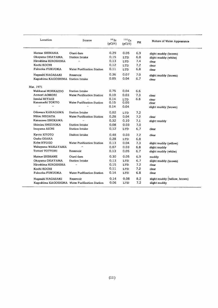| Location                           | Source                                         | 90Sr<br>$(pCi/\ell)$ | 137Cs<br>$(pCi/\ell)$ | PH. | Nature of Water Appearance   |
|------------------------------------|------------------------------------------------|----------------------|-----------------------|-----|------------------------------|
| Matsue SHIMANA                     | Otani dam                                      | 0.29                 | 0.05                  | 6.9 | slight muddy (brown)         |
| Okayama OKAYAMA                    | Station Intake                                 | 0.15                 | <b>LTD</b>            | 6.8 | slight muddy (white)         |
| Hiroshima HIROSHIMA                | $\cdot$                                        | 0.13                 | LTD                   | 7.4 | clear                        |
| Kochi KOCHI                        |                                                | 0.12                 | <b>LTD</b>            | 7.2 | clear                        |
| Fukuoka FUKUOKA                    | Water Purification Station                     | 0.11                 | <b>LTD</b>            | 6.8 | clear                        |
| Nagasaki NAGASAKI                  | Reservoir                                      | 0.36                 | 0.07                  | 7.0 | slight muddy (brown)         |
| Kagoshima KAGOSHIMA Station Intake |                                                | 0.05                 | 0.04                  | 6.7 | clear                        |
| Mar. 1971                          |                                                |                      |                       |     |                              |
| Wakkanai HOKKAIDO                  | Station Intake                                 | 0.75                 | 0.04                  | 6.6 |                              |
| Aomori AOMORI                      | Water Purification Station                     | 0.10                 | 0.03                  | 7.3 | clear                        |
| Sendai MIYAGI                      |                                                | 0.14                 | LTD.                  | 6.8 | clear                        |
| Kanamachi TOKYO                    | Water Purification Station                     | 0.15                 | 0.05                  |     | clear                        |
| $\mathbf{r}$<br>$\cdot$            | $\cdot$                                        | 0.14                 | 0.04                  |     | slight muddy (brown)         |
| Odawara KANAGAWA                   | Station Intake                                 | 0.02                 | <b>LTD</b>            | 7.2 |                              |
| Niitsu NIIGATA                     | Water Purification Station                     | 0.28                 | 0.04                  | 7.2 | clear                        |
| Kanazawa ISHIKAWA                  | $\ddot{\phantom{0}}$                           | 0.32                 | 0.10                  | 7.1 | slight muddy                 |
| Shimizu SHIZUOKA                   | Station Intake                                 | 0.08                 | 0.03                  | 7.0 |                              |
| Inuyama AICHI                      | <b>Station Intake</b>                          | 0.12                 | LTD                   | 6.7 | clear                        |
| Kyoto KYOTO                        | Staiton Intake                                 | 0.48                 | 0.03                  | 7.2 | clear                        |
| Osaka OSAKA                        |                                                | 0.28                 | <b>LTD</b>            | 6.8 |                              |
| Kobe HYOGO                         | Water Purification Station                     | 0.13                 | 0.04                  | 7.3 | slight muddy (yellow)        |
| Wakayama WAKAYAMA                  | $\ddot{\phantom{0}}$                           | 0.07                 | 0.03                  | 6.8 | slight muddy                 |
| Tottori TOTTORI                    | Reservoir                                      | 0.13                 | 0.05                  | 6.7 | slight muddy (white)         |
| Matsue SHIMANE                     | Otani dam                                      | 0.30                 | 0.05                  | 6.9 | muddy                        |
| Okayama OKAYAMA                    | Station Intake                                 | 0.13                 | LTD                   | 6.7 | slight muddy (brown)         |
| Hiroshima HIROSHIMA                | $\ddot{\phantom{a}}$                           | 0.15                 | LTD                   | 7.2 | clear                        |
| Kochi KOCHI                        |                                                | 0.11                 | LTD                   | 7.2 | clear                        |
| Fukuoka FUKUOKA                    | Water Purification Station                     | 0.14                 | <b>LTD</b>            | 6.8 | clear                        |
| Nagasaki NAGASAKI                  | Reservoir                                      | 0.14                 | 0.08                  | 8.2 | slight muddy (hellow, brown) |
|                                    | Kagoshima KAGOSHIMA Water Purification Station | 0.06                 | LTD                   | 7.2 | slight muddy                 |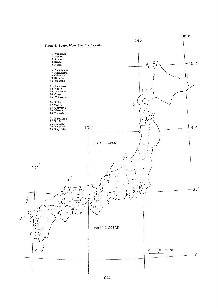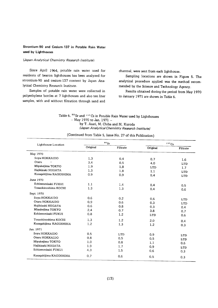### Strontium-90 and Cesium-137 in Potable Rain Water used by Lighthouses

### (Japan Analytical Chemistry Research Institute)

Since April 1964, potable rain water used for residents of beacon lighthouses has been analyzed for strontium-90 and cesium-137 content by Japan Analytical Chemistry Research Institute.

Samples of potable rain water were collected in polyethylene bottles at 7 lighthouses and also ten liter samples, with and without filtration through sand and charcoal, were sent from each lighthouse.

Sampling locations are shown in Figure 5. The analytical procedure applied was the method recommended by the Science and Technology Agency.

Results obtained during the period from May 1970 to January 1971 are shown in Table 6.

Table 6.  $90$  Sr and  $137$  Cs in Potable Rain Water used by Lighthouses  $-$  May 1970 to Jan. 1971  $$ by T. Asari, M. Chiba and M. Kuroda (Japan Analytical Chemistry Research Institute)

| Lighthouse Location           |          | $90g_r$    |            | 137Cs            |
|-------------------------------|----------|------------|------------|------------------|
|                               | Original | Filtrate   | Original   | Filtrate         |
| May 1970                      |          |            |            |                  |
| Soya HOKKAIDO                 | 1.3      | 0.4        | 0.7        | 1.6              |
| Otaru<br>$\ddot{\phantom{a}}$ | 3.4      | 0.5        | 4.0        | LTD              |
| Miyakejima TOKYO              | 1.9      | 1.8        | <b>LTD</b> | 1.7 <sub>z</sub> |
| Hajikizaki NIIGATA            | 1.3      | 1.8        | 1.1        | LTD              |
| Kusagakijima KAGOSHIMA        | 0.9      | 0.9        | 0.4        | <b>LTD</b>       |
| June 1970                     |          |            |            |                  |
| Echizenmisaki FUKUI           | 1.1      | 1.4        | 0.4        | 0.5              |
| Tosaokinoshima KOCHI          | 1.3      | 1.3        | 0.4        | 0.6              |
| Sept. 1970                    |          |            |            |                  |
| Soya HOKKAIDO                 | 0.6      | 0.2        | 0.6        | <b>LTD</b>       |
| Otaru HOKKAIDO                | 0.9      | 0.6        | 0.3        | <b>LTD</b>       |
| Hajikizaki NIIGATA            | 0.6      | 0.8        | 0.3        | 0.4              |
| Miyakejima TOKYO              | 2.4      | 0.7        | 3.8        | 0.7              |
| Echizenmisaki FUKUI           | 0.8      | 1.2        | LTD        | 0.6              |
| Tosaokinoshima KOCHI          | 1.3      | 1.2        | 2.0        | 0.4              |
| Kusagakijima KAGOSHIMA        | 1.2      | 1.3        | 1.2        | 0.3              |
| Jan. 1971                     |          |            |            |                  |
| Soya HOKKAIDO                 | 0.5      | <b>LTD</b> | 0.9        | <b>LTD</b>       |
| Otaru HOKKAIDO                | 0.8      | 0.5        | 0.5        | <b>LTD</b>       |
| Miyakejima TOKYO              | 1.0      | 0.8        | 1.1        | 0.6              |
| Hajikizaki NIIGATA            | 1.9      | 1.7        | 0.9        | LTD              |
| Echizenmisaki FUKUI           | 4,3      | 1.5        | 0.6        | 0.3              |
| Kusagakijima KAGOSHIMA        | 0.7      | 0.6        | 0.5        | 0.3              |

(Continued from Table 5, Issue No. 27 of this Publication)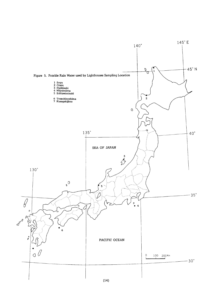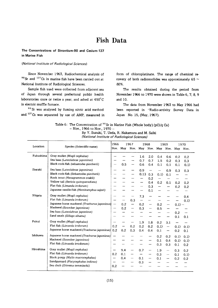### **Fish Data**

The Concentrations of Strontium-90 and Cesium-137 in Marine Fish

#### (National Institute of Radiological Sciences)

Since November 1963, Radiochemical analysis of  $90$  Sr and  $137$ Cs in marine fish have been carried out at National Institute of Radiological Sciences.

Sample fish used were collected from adjacent sea of Japan through several prefectural public health laboratories once or twice a year, and ashed at 450°C in electric muffle furnace.

90 Sr was analysed by fuming nitric acid method and <sup>137</sup> Cs was separated by use of AMP, measured in form of chloroplatinate. The range of chemical recovery of both radionuclides was approximately 65  $\sim$ 80%.

The results obtained during the period from November 1966 to 1970 were shown in Table 6, 7, 8, 9 and 10.

The data from November 1963 to May 1966 had been reported in "Radio-activity Survey Data in Japan No. 15, (May, 1967).

| Table 6: The Concentration of $90$ Sr in Marine Fish (Whole body) (pCi/g Ca) |
|------------------------------------------------------------------------------|
| $-$ Nov., 1966 to Nov., 1970 $-$                                             |

By Y. Suzuki, T. Ueda, R. Nakamura and M. Saiki (National Institute of Radiological Sciences)

| Location  | 1966                                          |          |     | 1967 | 1968 |     | 1969              |                   |         | 1970 |
|-----------|-----------------------------------------------|----------|-----|------|------|-----|-------------------|-------------------|---------|------|
|           | Species (Scientific name)                     | Nov. May |     | Nov. |      |     | May Nov. May Nov. |                   | May     | Nov. |
| Fukushima | Gray mullet (Mugil cephalus)                  |          |     |      | 1.6  | 2.0 | 0.4               | 0.6               | 0.2     | 0.2  |
|           | Sea bass (Lateolabrax japonicus)              |          |     |      | 0.7  | 0.7 | 1.5               | 0.2               | 0.3     | 0.3  |
|           | Black rock-fish (sebastodes quntherii)        |          | 0.5 |      | 0.6  | 0.4 | 0.1               | 0.1               | 0.1     | 0.1  |
| Ibaraki   | Sea bass (Lateolabrax japonicus)              |          |     |      | 0.9  |     | --                | 0.9               | 0.3     | 0.3  |
|           | Black rock-fish (Sebastodes güntherii)        |          |     |      | 0.13 | 0.3 | 0.1               | 0.1               |         |      |
|           | Rock trout (Hexagrammos otakii)               |          |     |      |      | 0.2 |                   |                   |         |      |
|           | Yellow tail (Seriola quinqueradiata)          |          |     |      |      | 0.4 | 0.2               | 0.1               | 0.2     | 0.2  |
|           | Flat fish (Limanda irrdorum)                  |          |     |      |      | 0.3 |                   |                   | 0.2     | 0.2  |
|           | Japanese needle-fish (Hemiramphus sajori)     |          |     |      |      | 0.1 |                   |                   |         |      |
| Niigata   | Gray mullet (Mugil cephalus)                  |          |     |      | 7.3  |     |                   |                   |         | 0.4  |
|           | Flat fish (Limanda irrdorum)                  |          |     | 0.3  |      |     |                   |                   |         | 0.1  |
|           | Japanese horse mackerel (Trachurus japonicus) |          | 0.2 |      | 0.2  |     | 0.2               |                   | $0.1$ – |      |
|           | Mackerel (Scomber japonicus)                  |          | 0.2 |      | 0.3  |     | 0.5               |                   |         |      |
|           | Sea bass (Lateolabrax japonicus)              |          |     |      |      |     |                   |                   | 0.2     |      |
|           | Sand smelt (Sillago sihama)                   |          |     |      |      |     |                   |                   | 0.1     | 0.1  |
| Fukui     | Gray mullet (Mugil cephalus)                  |          |     |      | 1.9  | 1.8 | 0.2               | 3.1               |         |      |
|           | Flat fish (Limanda irrdorum)                  | 0.2      |     | 0.2  | 0.2  | 0.2 | 0.1               | $\qquad \qquad -$ | 0.1     | 0.1  |
|           | Japanese horse macherel (Trachurus japonicus) | 0.2      | 0.2 | 0.3  | 0.4  | 0.4 | 0.1               |                   | 0.2     | 0.1  |
| Ishikawa  | Japanese horse mackerel (Trachurus japonicus) |          |     |      |      |     | 0.2               | 0.2               | 0.1     | 0.1  |
|           | Mackerel (Scomber japonicus)                  |          |     |      |      |     | 0.1               | 0.4               | 0.1     | 0.1  |
|           | Flat fish (Limanda irrodorum)                 |          |     |      |      |     | 0.3               | 0.3               | 0.1     | 0,2  |
| Hiroshima | Gray mullet (Mugil cephalus)                  |          | 9.4 |      | 0.7  |     | 1.9               |                   | 0.3     | 0.2  |
|           | Flat fish (Limanda irrdorum)                  | 0.2      | 0.1 |      |      |     | 0.3               |                   | 0.1     | 0.1  |
|           | Black porgy (Mylio macrocephalus)             | ---      | 0.4 |      | 0.1  |     | 0.1               | --                | 0.2     | 0.2  |
|           | Sandgurnard (Platycephalus indicus)           |          |     |      | 0.3  |     |                   |                   |         |      |
|           | Sea chub (Ditrema temmincki)                  | 0.2      |     |      |      |     |                   |                   |         |      |
|           |                                               |          |     |      |      |     |                   |                   |         |      |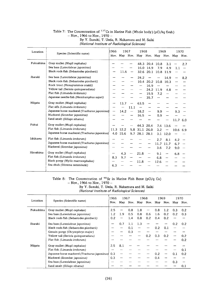### Table 7: The Concentration of  $137Cs$  in Marine Fish (Whole body) (pCi/kg flesh)  $-$  Nov., 1966 to Nov., 1970  $-$ By Y. Suzuki, T. Ueda, R. Nakamura and M. Saiki

| (National Institute of Rediological Sciences) |  |  |  |  |
|-----------------------------------------------|--|--|--|--|

| Location  |                                               | 1966 | 1967                       |                          |      | 1968      |                | 1969      |            | 1970 |
|-----------|-----------------------------------------------|------|----------------------------|--------------------------|------|-----------|----------------|-----------|------------|------|
|           | Species (Scientific name)                     |      | Nov. May Nov. May Nov. May |                          |      |           |                | Nov.      | May        | Nov. |
| Fukushima | Gray mullet (Mugil cephalus)                  |      |                            |                          |      |           | 48.3 20.4 10.8 | 3.1       |            | 2.7  |
|           | Sea bass (Lateolabrax japonicus)              |      |                            |                          | 16.0 | 14.9      | 7.9            | 4.9       | 1.1        |      |
|           | Black rock-fish (Sebastodes qüntherii)        |      | 11.6                       |                          |      | 32.6 20.1 |                | 10.8 11.9 |            |      |
| Ibaraki   | Sea bass (Lateolabrax japonicus)              |      |                            |                          | 24.2 |           |                | 14.9      |            | 8.2  |
|           | Black rock-fish (Sebastodes qüntherii)        |      |                            |                          |      | 10.4 20.2 | 10.8           | 10.3      |            |      |
|           | Rock trout (Hexagrammos otakii)               |      |                            |                          |      | 16.9      |                |           |            |      |
|           | Yellow tail (Seriola quinqueradiata)          |      |                            |                          |      | 24.2      | 11.9           | 4.8       |            |      |
|           | Flat fish (Limanda irrdorum)                  |      |                            |                          |      | 19.5      | 7.2            | ----      |            |      |
|           | Japanese needle-fish (Hemiramphus sajori)     |      |                            |                          |      | 35.7      |                |           |            |      |
| Niigata   | Gray mullet (Mugil cephalus)                  |      | 13.7                       | $\qquad \qquad$          | 63.5 |           |                |           |            |      |
|           | Flat sifh (Limanda irrdorum)                  |      |                            | 11.1                     |      |           |                |           |            |      |
|           | Japanese horse mackerel (Trachurus japonicus) | —    | 14.2                       | $\overline{\phantom{m}}$ | 18.2 |           | 9.9            |           | 9.3        |      |
|           | Mackerel (Scomber japonicus)                  |      |                            |                          | 16.5 | --        | 0.9            |           |            |      |
|           | Sand smelt (Sillago sihama)                   |      |                            |                          |      |           |                |           | 11.7 6.0   |      |
| Fukui     | Gray mullet (Mugil cephalus)                  |      |                            |                          | 44.3 | 20.4      | 7.6            | 13.6      |            |      |
|           | Flat fish (Limanda irrdorum)                  |      | 11.3 12.2                  | 5.8                      |      | 31.1 26.0 | 3.2            |           | $10.6$ 6.9 |      |
|           | Japanese horse macherel (Trachurus japonicus) | 4.0  | 15.6                       | 9.7                      | 28.1 | 28.1      | 3.1            | 12.0      |            |      |
| Ishikawa  | Flat fish (Limanda irrdorum)                  |      |                            |                          |      |           | 2.7            | 8.1       | 4.2        |      |
|           | Japanese horse mackerel (Trachurus japonicus) |      |                            |                          |      |           | 11.7           | 11.7      | 6.7        |      |
|           | Mackerel (Scomber japonicus)                  |      |                            |                          |      |           | 3.6            | 7.2       | 9.0        |      |
| Hiroshima | Gray mullet (Mugil cephalus)                  |      | 4.3                        |                          | 21.8 |           | 9.1            |           | 6.8        |      |
|           | Flat fish (Limanda irrdorum)                  | 8.3  | 9.7                        |                          |      |           | 6.8            | --        |            |      |
|           | Black porgy (Mylio macrocephalus)             |      |                            |                          | 11.8 |           | 12.6           |           |            |      |
|           | Sea chub (Ditrema temmincki)                  | 6.3  |                            |                          |      |           |                |           |            |      |
|           |                                               |      |                            |                          |      |           |                |           |            |      |

(National Institute of Radiological Sciences)

#### Table 8: The Concentration of  $90\,\mathrm{Sr}$  in Marine Fish Bone (pC)  $-100, 1900$  to  $\frac{1}{2}$ By Y. Suzuki, T. Ueda, R. Nakamura and M. Saiki (National Institute of Radiological Sciences)

 $\overline{a}$ 

|           | Species (Scientific name)                     | 1966 | 1967 |      |     | 1968 |     | 1969 |      | 1970 |
|-----------|-----------------------------------------------|------|------|------|-----|------|-----|------|------|------|
| Location  |                                               | Nov. | May  | Nov. | May | Nov. | May | Nov. | May  | Nov. |
| Fukushima | Gray mullet (Mugil cephalus)                  | 2.5  |      | 0.8  | 1.8 |      | 0.8 | 1.2  | 0.3  | 0.2  |
|           | Sea bass (Lateolabrax japonicus)              | 1.2  | 1.9  | 0.5  | 0.8 | 0.6  | 1.6 | 0.2  | 0.2  | 0.3  |
|           | Black rock-fish (Sebastodes qüntherii)        | 0.2  |      | 1.4  | 0.8 | 0.2  | 0.4 | 0.2  |      |      |
| Ibaraki   | Sea bass (Lateolabrax japonicus)              |      | 0.7  | 1.1  | 1.3 |      |     |      | 0.2  | 0.2  |
|           | Black rock-fish (Sebastodes qüntherii)        |      |      | 0.1  |     |      | 0.2 | 0.1  | ---- |      |
|           | Genuin porqy (Chrysophrys major)              |      |      | 0.3  |     |      |     |      |      |      |
|           | Yellow tail (Seriola quinqueradiata)          |      |      |      |     | 0.2  | 0.3 | 0.2  |      | 0.2  |
|           | Flat fish (Limanda irrdorum)                  |      |      |      |     |      |     |      |      | 0.2  |
| Niigata   | Gray mullet (Mugil cephalus)                  | 2.5  | 8.1  |      |     |      |     |      |      |      |
|           | Flat fish (Limanda irrdorum)                  |      |      |      |     |      |     |      |      | 0.1  |
|           | Japanese horse mackerel (Trachurus japonicus) | 0.3  |      |      |     |      | 0.2 |      | 0.1  | 0.2  |
|           | Mackerel (Scomber japonicus)                  | 0.3  |      |      |     |      | 0.4 |      |      |      |
|           | Sea bass (Lateolabrax japonicus)              |      |      |      |     |      |     |      | 0.3  |      |
|           | Sand smelt (Sillago sihama)                   |      |      |      |     |      |     |      |      | 0.1  |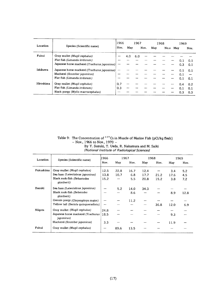| Location  | Species (Scientific name)                     | 1966 | 1967 |     | 1968 |     | 1969 |     |     |      |
|-----------|-----------------------------------------------|------|------|-----|------|-----|------|-----|-----|------|
|           |                                               | Nov. | May  |     | Nov. | Mav | No.v | May |     | Nov. |
| Fukui     | Gray mullet (Mugil cephalus)                  |      | 4.0  | 6.0 |      |     |      |     |     |      |
|           | Flat fish (Limanda irrdorum)                  |      |      |     |      |     |      |     | 0.1 | 0.1  |
|           | Japanese horse macherel (Trachurus japonicus) |      |      |     |      |     |      |     | 0.3 | 0.1  |
| Ishikawa  | Japanese horse mackerel (Trachurus japonicus) |      |      |     |      |     |      |     | 0.1 | 0.1  |
|           | Macherel (Scomber japonicus)                  |      |      |     |      |     |      |     | 0.1 |      |
|           | Flat fish (Limanda irrdorum)                  |      |      |     |      |     |      |     | 0.1 | 0.1  |
| Hiroshima | Gray mullet (Mugil cephalus)                  | 0.7  |      |     |      |     |      |     | 0.4 | 0.2  |
|           | Flat fish (Limanda irrdorum)                  | 0.3  |      |     |      |     |      |     | 0.1 | 0.1  |
|           | Black porgy (Mylio macrocephalus)             |      |      |     |      |     |      |     | 0.3 | 0.3  |

Table 9: The Concentration of  $137\,\mathrm{Cs}$  in Muscle of Marin 1966 to Nov., 1976<br>By Y. Suzuki, T. Ueda, R. Na /National Institute of Radiological Sciences)

| Location  | Species (Scientific name)                                | 1966 |      | 1967 |      | 1968 |      | 1969 |
|-----------|----------------------------------------------------------|------|------|------|------|------|------|------|
|           |                                                          | Nov. | May  | Nov. | May  | Nov. | May  | Nov. |
| Fukushima | Gray mullet (Mugil cephalus)                             | 12.5 | 22.8 | 16.7 | 12.4 |      | 3.4  | 5.2  |
|           | Sea bass (Lateolabrax japonicus)                         | 13.8 | 10.7 | 6.8  | 17.7 | 21.2 | 17.6 | 4.5  |
|           | Black rock-fish (Sebastodes<br>qüntherii)                | 15.2 |      | 5.5  | 20.8 | 15.2 | 3.8  | 7.2  |
| Ibaraki   | Sea bass (Lateolabrax japonicus)                         |      | 5.2  | 14.0 | 34.3 |      |      |      |
|           | Black rock-fish (Sebstodes<br>qüntherii)                 |      |      | 8.6  |      |      | 8.9  | 12.8 |
|           | Genuin porgy (Chrysophrys major)                         |      |      | 11.2 |      |      |      |      |
|           | Yellow tail (Seriola quinqueradiata)                     | ——   |      |      |      | 36.8 | 12.0 | 6.9  |
| Niigata   | Gray mullet (Mugil cephalus)                             | 24.8 |      |      |      |      |      |      |
|           | Japanese horse mackerel (Trachurus<br><i>japonicus</i> ) | 18.5 |      |      |      |      | 9.3  |      |
|           | Mackerel (Scomber japonicus)                             | 3.3  |      |      |      |      | 11.9 |      |
| Fukui     | Gray mullet (Mugil cephalus)                             |      | 89.6 | 13.5 |      |      |      |      |